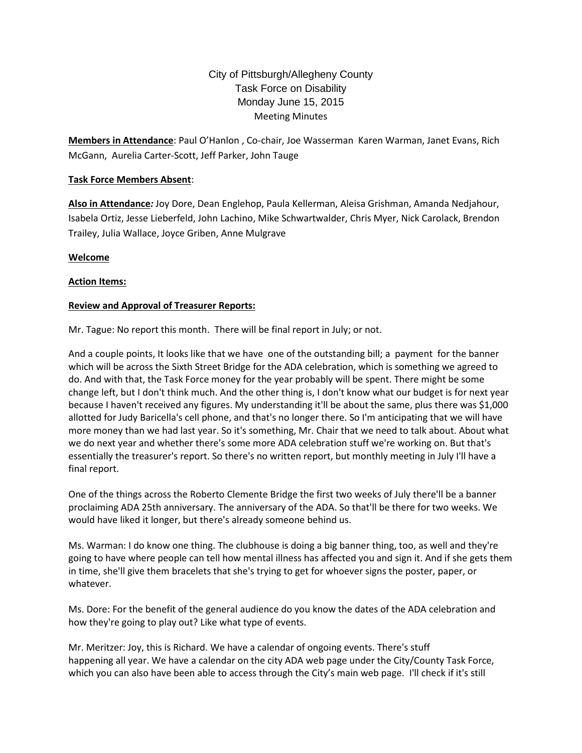# City of Pittsburgh/Allegheny County Task Force on Disability Monday June 15, 2015 Meeting Minutes

**Members in Attendance**: Paul O'Hanlon , Co-chair, Joe Wasserman Karen Warman, Janet Evans, Rich McGann, Aurelia Carter-Scott, Jeff Parker, John Tauge

# **Task Force Members Absent**:

**Also in Attendance***:* Joy Dore, Dean Englehop, Paula Kellerman, Aleisa Grishman, Amanda Nedjahour, Isabela Ortiz, Jesse Lieberfeld, John Lachino, Mike Schwartwalder, Chris Myer, Nick Carolack, Brendon Trailey, Julia Wallace, Joyce Griben, Anne Mulgrave

# **Welcome**

# **Action Items:**

# **Review and Approval of Treasurer Reports:**

Mr. Tague: No report this month. There will be final report in July; or not.

And a couple points, It looks like that we have one of the outstanding bill; a payment for the banner which will be across the Sixth Street Bridge for the ADA celebration, which is something we agreed to do. And with that, the Task Force money for the year probably will be spent. There might be some change left, but I don't think much. And the other thing is, I don't know what our budget is for next year because I haven't received any figures. My understanding it'll be about the same, plus there was \$1,000 allotted for Judy Baricella's cell phone, and that's no longer there. So I'm anticipating that we will have more money than we had last year. So it's something, Mr. Chair that we need to talk about. About what we do next year and whether there's some more ADA celebration stuff we're working on. But that's essentially the treasurer's report. So there's no written report, but monthly meeting in July I'll have a final report.

One of the things across the Roberto Clemente Bridge the first two weeks of July there'll be a banner proclaiming ADA 25th anniversary. The anniversary of the ADA. So that'll be there for two weeks. We would have liked it longer, but there's already someone behind us.

Ms. Warman: I do know one thing. The clubhouse is doing a big banner thing, too, as well and they're going to have where people can tell how mental illness has affected you and sign it. And if she gets them in time, she'll give them bracelets that she's trying to get for whoever signs the poster, paper, or whatever.

Ms. Dore: For the benefit of the general audience do you know the dates of the ADA celebration and how they're going to play out? Like what type of events.

Mr. Meritzer: Joy, this is Richard. We have a calendar of ongoing events. There's stuff happening all year. We have a calendar on the city ADA web page under the City/County Task Force, which you can also have been able to access through the City's main web page. I'll check if it's still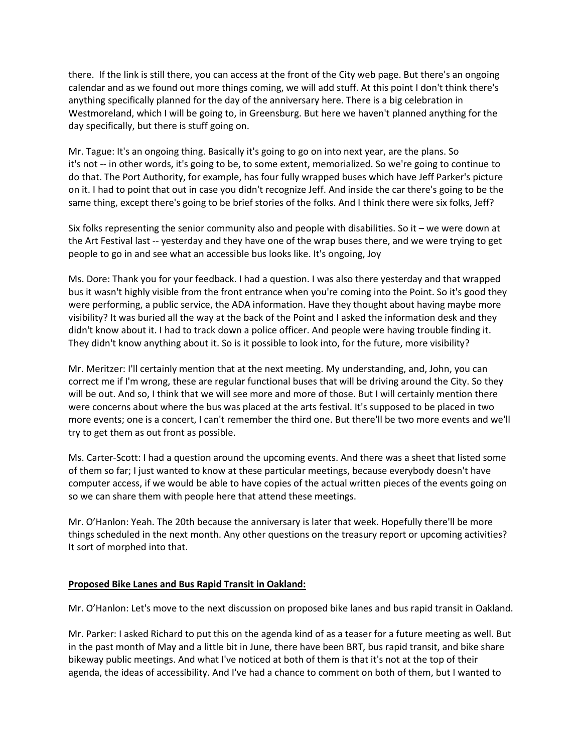there. If the link is still there, you can access at the front of the City web page. But there's an ongoing calendar and as we found out more things coming, we will add stuff. At this point I don't think there's anything specifically planned for the day of the anniversary here. There is a big celebration in Westmoreland, which I will be going to, in Greensburg. But here we haven't planned anything for the day specifically, but there is stuff going on.

Mr. Tague: It's an ongoing thing. Basically it's going to go on into next year, are the plans. So it's not -- in other words, it's going to be, to some extent, memorialized. So we're going to continue to do that. The Port Authority, for example, has four fully wrapped buses which have Jeff Parker's picture on it. I had to point that out in case you didn't recognize Jeff. And inside the car there's going to be the same thing, except there's going to be brief stories of the folks. And I think there were six folks, Jeff?

Six folks representing the senior community also and people with disabilities. So it – we were down at the Art Festival last -- yesterday and they have one of the wrap buses there, and we were trying to get people to go in and see what an accessible bus looks like. It's ongoing, Joy

Ms. Dore: Thank you for your feedback. I had a question. I was also there yesterday and that wrapped bus it wasn't highly visible from the front entrance when you're coming into the Point. So it's good they were performing, a public service, the ADA information. Have they thought about having maybe more visibility? It was buried all the way at the back of the Point and I asked the information desk and they didn't know about it. I had to track down a police officer. And people were having trouble finding it. They didn't know anything about it. So is it possible to look into, for the future, more visibility?

Mr. Meritzer: I'll certainly mention that at the next meeting. My understanding, and, John, you can correct me if I'm wrong, these are regular functional buses that will be driving around the City. So they will be out. And so, I think that we will see more and more of those. But I will certainly mention there were concerns about where the bus was placed at the arts festival. It's supposed to be placed in two more events; one is a concert, I can't remember the third one. But there'll be two more events and we'll try to get them as out front as possible.

Ms. Carter-Scott: I had a question around the upcoming events. And there was a sheet that listed some of them so far; I just wanted to know at these particular meetings, because everybody doesn't have computer access, if we would be able to have copies of the actual written pieces of the events going on so we can share them with people here that attend these meetings.

Mr. O'Hanlon: Yeah. The 20th because the anniversary is later that week. Hopefully there'll be more things scheduled in the next month. Any other questions on the treasury report or upcoming activities? It sort of morphed into that.

## **Proposed Bike Lanes and Bus Rapid Transit in Oakland:**

Mr. O'Hanlon: Let's move to the next discussion on proposed bike lanes and bus rapid transit in Oakland.

Mr. Parker: I asked Richard to put this on the agenda kind of as a teaser for a future meeting as well. But in the past month of May and a little bit in June, there have been BRT, bus rapid transit, and bike share bikeway public meetings. And what I've noticed at both of them is that it's not at the top of their agenda, the ideas of accessibility. And I've had a chance to comment on both of them, but I wanted to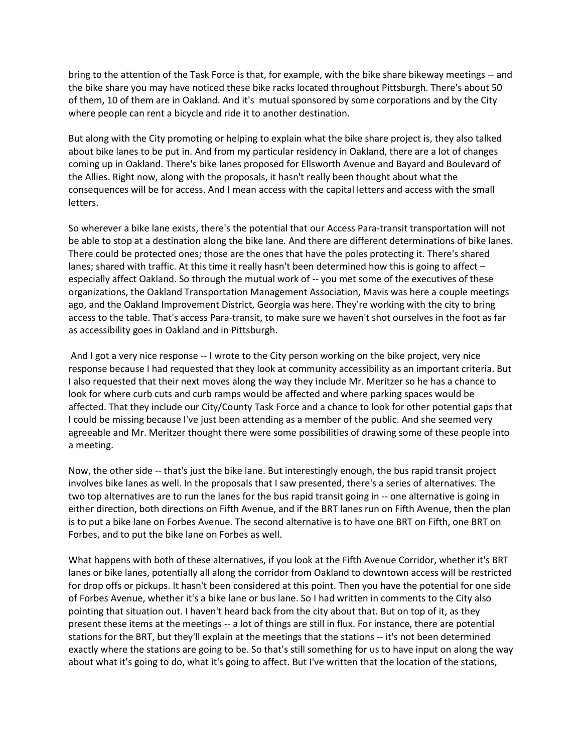bring to the attention of the Task Force is that, for example, with the bike share bikeway meetings -- and the bike share you may have noticed these bike racks located throughout Pittsburgh. There's about 50 of them, 10 of them are in Oakland. And it's mutual sponsored by some corporations and by the City where people can rent a bicycle and ride it to another destination.

But along with the City promoting or helping to explain what the bike share project is, they also talked about bike lanes to be put in. And from my particular residency in Oakland, there are a lot of changes coming up in Oakland. There's bike lanes proposed for Ellsworth Avenue and Bayard and Boulevard of the Allies. Right now, along with the proposals, it hasn't really been thought about what the consequences will be for access. And I mean access with the capital letters and access with the small letters.

So wherever a bike lane exists, there's the potential that our Access Para-transit transportation will not be able to stop at a destination along the bike lane. And there are different determinations of bike lanes. There could be protected ones; those are the ones that have the poles protecting it. There's shared lanes; shared with traffic. At this time it really hasn't been determined how this is going to affect – especially affect Oakland. So through the mutual work of -- you met some of the executives of these organizations, the Oakland Transportation Management Association, Mavis was here a couple meetings ago, and the Oakland Improvement District, Georgia was here. They're working with the city to bring access to the table. That's access Para-transit, to make sure we haven't shot ourselves in the foot as far as accessibility goes in Oakland and in Pittsburgh.

And I got a very nice response -- I wrote to the City person working on the bike project, very nice response because I had requested that they look at community accessibility as an important criteria. But I also requested that their next moves along the way they include Mr. Meritzer so he has a chance to look for where curb cuts and curb ramps would be affected and where parking spaces would be affected. That they include our City/County Task Force and a chance to look for other potential gaps that I could be missing because I've just been attending as a member of the public. And she seemed very agreeable and Mr. Meritzer thought there were some possibilities of drawing some of these people into a meeting.

Now, the other side -- that's just the bike lane. But interestingly enough, the bus rapid transit project involves bike lanes as well. In the proposals that I saw presented, there's a series of alternatives. The two top alternatives are to run the lanes for the bus rapid transit going in -- one alternative is going in either direction, both directions on Fifth Avenue, and if the BRT lanes run on Fifth Avenue, then the plan is to put a bike lane on Forbes Avenue. The second alternative is to have one BRT on Fifth, one BRT on Forbes, and to put the bike lane on Forbes as well.

What happens with both of these alternatives, if you look at the Fifth Avenue Corridor, whether it's BRT lanes or bike lanes, potentially all along the corridor from Oakland to downtown access will be restricted for drop offs or pickups. It hasn't been considered at this point. Then you have the potential for one side of Forbes Avenue, whether it's a bike lane or bus lane. So I had written in comments to the City also pointing that situation out. I haven't heard back from the city about that. But on top of it, as they present these items at the meetings -- a lot of things are still in flux. For instance, there are potential stations for the BRT, but they'll explain at the meetings that the stations -- it's not been determined exactly where the stations are going to be. So that's still something for us to have input on along the way about what it's going to do, what it's going to affect. But I've written that the location of the stations,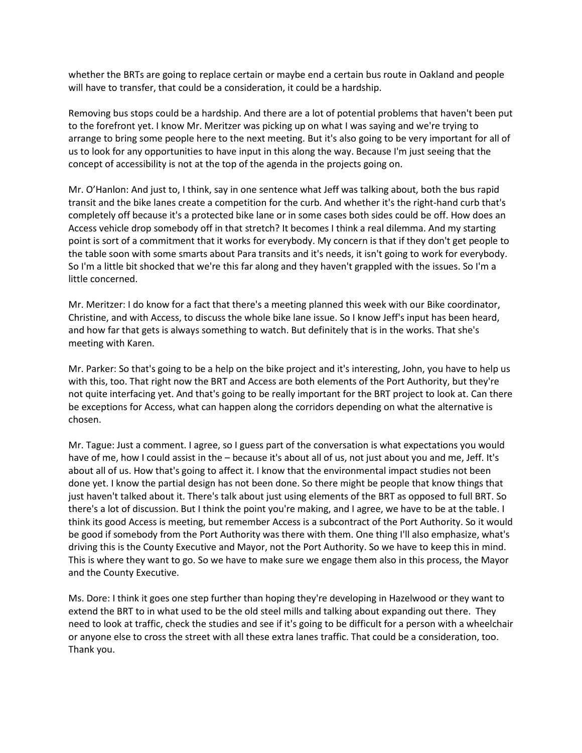whether the BRTs are going to replace certain or maybe end a certain bus route in Oakland and people will have to transfer, that could be a consideration, it could be a hardship.

Removing bus stops could be a hardship. And there are a lot of potential problems that haven't been put to the forefront yet. I know Mr. Meritzer was picking up on what I was saying and we're trying to arrange to bring some people here to the next meeting. But it's also going to be very important for all of us to look for any opportunities to have input in this along the way. Because I'm just seeing that the concept of accessibility is not at the top of the agenda in the projects going on.

Mr. O'Hanlon: And just to, I think, say in one sentence what Jeff was talking about, both the bus rapid transit and the bike lanes create a competition for the curb. And whether it's the right-hand curb that's completely off because it's a protected bike lane or in some cases both sides could be off. How does an Access vehicle drop somebody off in that stretch? It becomes I think a real dilemma. And my starting point is sort of a commitment that it works for everybody. My concern is that if they don't get people to the table soon with some smarts about Para transits and it's needs, it isn't going to work for everybody. So I'm a little bit shocked that we're this far along and they haven't grappled with the issues. So I'm a little concerned.

Mr. Meritzer: I do know for a fact that there's a meeting planned this week with our Bike coordinator, Christine, and with Access, to discuss the whole bike lane issue. So I know Jeff's input has been heard, and how far that gets is always something to watch. But definitely that is in the works. That she's meeting with Karen.

Mr. Parker: So that's going to be a help on the bike project and it's interesting, John, you have to help us with this, too. That right now the BRT and Access are both elements of the Port Authority, but they're not quite interfacing yet. And that's going to be really important for the BRT project to look at. Can there be exceptions for Access, what can happen along the corridors depending on what the alternative is chosen.

Mr. Tague: Just a comment. I agree, so I guess part of the conversation is what expectations you would have of me, how I could assist in the – because it's about all of us, not just about you and me, Jeff. It's about all of us. How that's going to affect it. I know that the environmental impact studies not been done yet. I know the partial design has not been done. So there might be people that know things that just haven't talked about it. There's talk about just using elements of the BRT as opposed to full BRT. So there's a lot of discussion. But I think the point you're making, and I agree, we have to be at the table. I think its good Access is meeting, but remember Access is a subcontract of the Port Authority. So it would be good if somebody from the Port Authority was there with them. One thing I'll also emphasize, what's driving this is the County Executive and Mayor, not the Port Authority. So we have to keep this in mind. This is where they want to go. So we have to make sure we engage them also in this process, the Mayor and the County Executive.

Ms. Dore: I think it goes one step further than hoping they're developing in Hazelwood or they want to extend the BRT to in what used to be the old steel mills and talking about expanding out there. They need to look at traffic, check the studies and see if it's going to be difficult for a person with a wheelchair or anyone else to cross the street with all these extra lanes traffic. That could be a consideration, too. Thank you.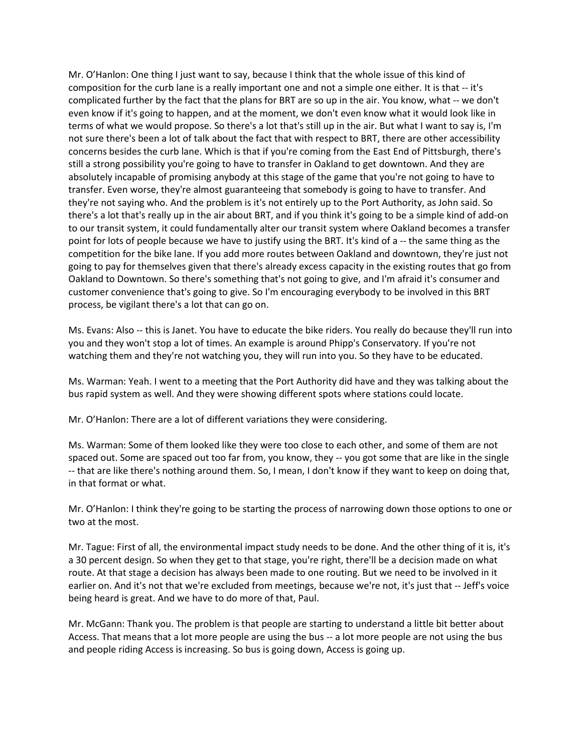Mr. O'Hanlon: One thing I just want to say, because I think that the whole issue of this kind of composition for the curb lane is a really important one and not a simple one either. It is that -- it's complicated further by the fact that the plans for BRT are so up in the air. You know, what -- we don't even know if it's going to happen, and at the moment, we don't even know what it would look like in terms of what we would propose. So there's a lot that's still up in the air. But what I want to say is, I'm not sure there's been a lot of talk about the fact that with respect to BRT, there are other accessibility concerns besides the curb lane. Which is that if you're coming from the East End of Pittsburgh, there's still a strong possibility you're going to have to transfer in Oakland to get downtown. And they are absolutely incapable of promising anybody at this stage of the game that you're not going to have to transfer. Even worse, they're almost guaranteeing that somebody is going to have to transfer. And they're not saying who. And the problem is it's not entirely up to the Port Authority, as John said. So there's a lot that's really up in the air about BRT, and if you think it's going to be a simple kind of add-on to our transit system, it could fundamentally alter our transit system where Oakland becomes a transfer point for lots of people because we have to justify using the BRT. It's kind of a -- the same thing as the competition for the bike lane. If you add more routes between Oakland and downtown, they're just not going to pay for themselves given that there's already excess capacity in the existing routes that go from Oakland to Downtown. So there's something that's not going to give, and I'm afraid it's consumer and customer convenience that's going to give. So I'm encouraging everybody to be involved in this BRT process, be vigilant there's a lot that can go on.

Ms. Evans: Also -- this is Janet. You have to educate the bike riders. You really do because they'll run into you and they won't stop a lot of times. An example is around Phipp's Conservatory. If you're not watching them and they're not watching you, they will run into you. So they have to be educated.

Ms. Warman: Yeah. I went to a meeting that the Port Authority did have and they was talking about the bus rapid system as well. And they were showing different spots where stations could locate.

Mr. O'Hanlon: There are a lot of different variations they were considering.

Ms. Warman: Some of them looked like they were too close to each other, and some of them are not spaced out. Some are spaced out too far from, you know, they -- you got some that are like in the single -- that are like there's nothing around them. So, I mean, I don't know if they want to keep on doing that, in that format or what.

Mr. O'Hanlon: I think they're going to be starting the process of narrowing down those options to one or two at the most.

Mr. Tague: First of all, the environmental impact study needs to be done. And the other thing of it is, it's a 30 percent design. So when they get to that stage, you're right, there'll be a decision made on what route. At that stage a decision has always been made to one routing. But we need to be involved in it earlier on. And it's not that we're excluded from meetings, because we're not, it's just that -- Jeff's voice being heard is great. And we have to do more of that, Paul.

Mr. McGann: Thank you. The problem is that people are starting to understand a little bit better about Access. That means that a lot more people are using the bus -- a lot more people are not using the bus and people riding Access is increasing. So bus is going down, Access is going up.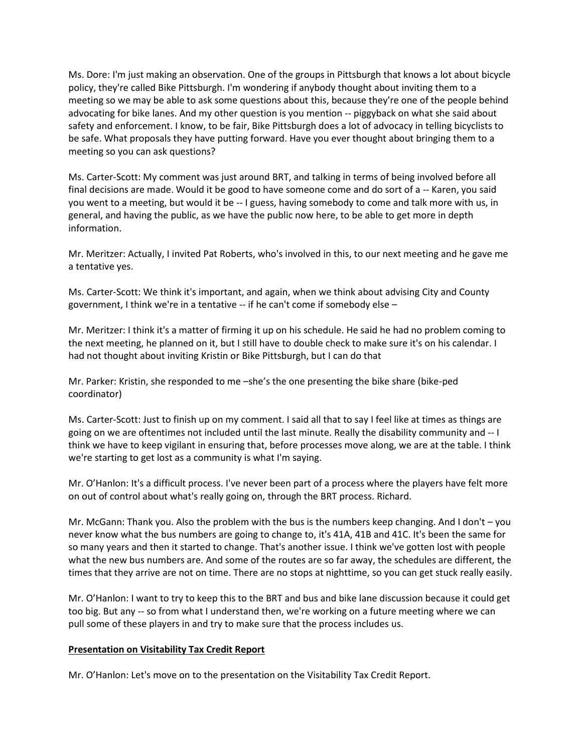Ms. Dore: I'm just making an observation. One of the groups in Pittsburgh that knows a lot about bicycle policy, they're called Bike Pittsburgh. I'm wondering if anybody thought about inviting them to a meeting so we may be able to ask some questions about this, because they're one of the people behind advocating for bike lanes. And my other question is you mention -- piggyback on what she said about safety and enforcement. I know, to be fair, Bike Pittsburgh does a lot of advocacy in telling bicyclists to be safe. What proposals they have putting forward. Have you ever thought about bringing them to a meeting so you can ask questions?

Ms. Carter-Scott: My comment was just around BRT, and talking in terms of being involved before all final decisions are made. Would it be good to have someone come and do sort of a -- Karen, you said you went to a meeting, but would it be -- I guess, having somebody to come and talk more with us, in general, and having the public, as we have the public now here, to be able to get more in depth information.

Mr. Meritzer: Actually, I invited Pat Roberts, who's involved in this, to our next meeting and he gave me a tentative yes.

Ms. Carter-Scott: We think it's important, and again, when we think about advising City and County government, I think we're in a tentative -- if he can't come if somebody else –

Mr. Meritzer: I think it's a matter of firming it up on his schedule. He said he had no problem coming to the next meeting, he planned on it, but I still have to double check to make sure it's on his calendar. I had not thought about inviting Kristin or Bike Pittsburgh, but I can do that

Mr. Parker: Kristin, she responded to me –she's the one presenting the bike share (bike-ped coordinator)

Ms. Carter-Scott: Just to finish up on my comment. I said all that to say I feel like at times as things are going on we are oftentimes not included until the last minute. Really the disability community and -- I think we have to keep vigilant in ensuring that, before processes move along, we are at the table. I think we're starting to get lost as a community is what I'm saying.

Mr. O'Hanlon: It's a difficult process. I've never been part of a process where the players have felt more on out of control about what's really going on, through the BRT process. Richard.

Mr. McGann: Thank you. Also the problem with the bus is the numbers keep changing. And I don't – you never know what the bus numbers are going to change to, it's 41A, 41B and 41C. It's been the same for so many years and then it started to change. That's another issue. I think we've gotten lost with people what the new bus numbers are. And some of the routes are so far away, the schedules are different, the times that they arrive are not on time. There are no stops at nighttime, so you can get stuck really easily.

Mr. O'Hanlon: I want to try to keep this to the BRT and bus and bike lane discussion because it could get too big. But any -- so from what I understand then, we're working on a future meeting where we can pull some of these players in and try to make sure that the process includes us.

#### **Presentation on Visitability Tax Credit Report**

Mr. O'Hanlon: Let's move on to the presentation on the Visitability Tax Credit Report.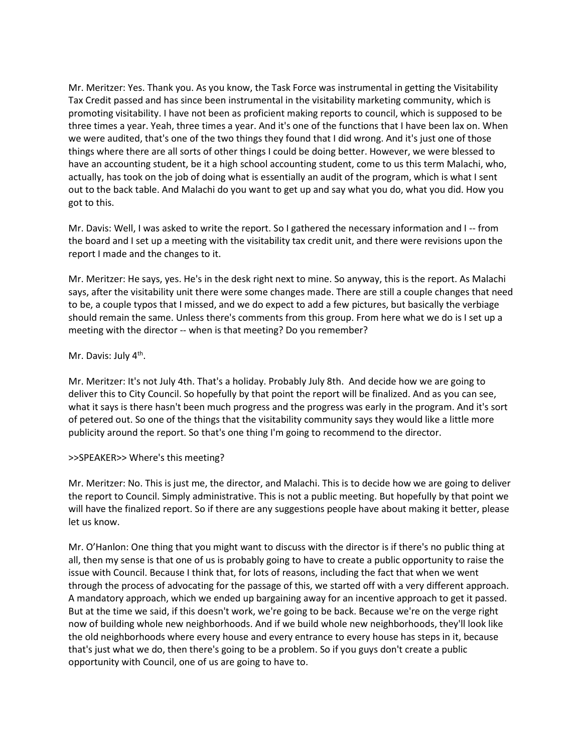Mr. Meritzer: Yes. Thank you. As you know, the Task Force was instrumental in getting the Visitability Tax Credit passed and has since been instrumental in the visitability marketing community, which is promoting visitability. I have not been as proficient making reports to council, which is supposed to be three times a year. Yeah, three times a year. And it's one of the functions that I have been lax on. When we were audited, that's one of the two things they found that I did wrong. And it's just one of those things where there are all sorts of other things I could be doing better. However, we were blessed to have an accounting student, be it a high school accounting student, come to us this term Malachi, who, actually, has took on the job of doing what is essentially an audit of the program, which is what I sent out to the back table. And Malachi do you want to get up and say what you do, what you did. How you got to this.

Mr. Davis: Well, I was asked to write the report. So I gathered the necessary information and I -- from the board and I set up a meeting with the visitability tax credit unit, and there were revisions upon the report I made and the changes to it.

Mr. Meritzer: He says, yes. He's in the desk right next to mine. So anyway, this is the report. As Malachi says, after the visitability unit there were some changes made. There are still a couple changes that need to be, a couple typos that I missed, and we do expect to add a few pictures, but basically the verbiage should remain the same. Unless there's comments from this group. From here what we do is I set up a meeting with the director -- when is that meeting? Do you remember?

# Mr. Davis: July 4<sup>th</sup>.

Mr. Meritzer: It's not July 4th. That's a holiday. Probably July 8th. And decide how we are going to deliver this to City Council. So hopefully by that point the report will be finalized. And as you can see, what it says is there hasn't been much progress and the progress was early in the program. And it's sort of petered out. So one of the things that the visitability community says they would like a little more publicity around the report. So that's one thing I'm going to recommend to the director.

## >>SPEAKER>> Where's this meeting?

Mr. Meritzer: No. This is just me, the director, and Malachi. This is to decide how we are going to deliver the report to Council. Simply administrative. This is not a public meeting. But hopefully by that point we will have the finalized report. So if there are any suggestions people have about making it better, please let us know.

Mr. O'Hanlon: One thing that you might want to discuss with the director is if there's no public thing at all, then my sense is that one of us is probably going to have to create a public opportunity to raise the issue with Council. Because I think that, for lots of reasons, including the fact that when we went through the process of advocating for the passage of this, we started off with a very different approach. A mandatory approach, which we ended up bargaining away for an incentive approach to get it passed. But at the time we said, if this doesn't work, we're going to be back. Because we're on the verge right now of building whole new neighborhoods. And if we build whole new neighborhoods, they'll look like the old neighborhoods where every house and every entrance to every house has steps in it, because that's just what we do, then there's going to be a problem. So if you guys don't create a public opportunity with Council, one of us are going to have to.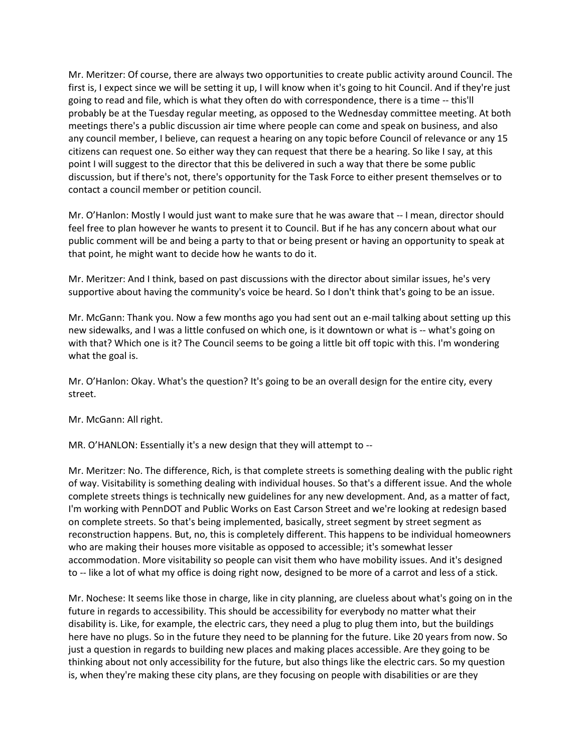Mr. Meritzer: Of course, there are always two opportunities to create public activity around Council. The first is, I expect since we will be setting it up, I will know when it's going to hit Council. And if they're just going to read and file, which is what they often do with correspondence, there is a time -- this'll probably be at the Tuesday regular meeting, as opposed to the Wednesday committee meeting. At both meetings there's a public discussion air time where people can come and speak on business, and also any council member, I believe, can request a hearing on any topic before Council of relevance or any 15 citizens can request one. So either way they can request that there be a hearing. So like I say, at this point I will suggest to the director that this be delivered in such a way that there be some public discussion, but if there's not, there's opportunity for the Task Force to either present themselves or to contact a council member or petition council.

Mr. O'Hanlon: Mostly I would just want to make sure that he was aware that -- I mean, director should feel free to plan however he wants to present it to Council. But if he has any concern about what our public comment will be and being a party to that or being present or having an opportunity to speak at that point, he might want to decide how he wants to do it.

Mr. Meritzer: And I think, based on past discussions with the director about similar issues, he's very supportive about having the community's voice be heard. So I don't think that's going to be an issue.

Mr. McGann: Thank you. Now a few months ago you had sent out an e-mail talking about setting up this new sidewalks, and I was a little confused on which one, is it downtown or what is -- what's going on with that? Which one is it? The Council seems to be going a little bit off topic with this. I'm wondering what the goal is.

Mr. O'Hanlon: Okay. What's the question? It's going to be an overall design for the entire city, every street.

Mr. McGann: All right.

MR. O'HANLON: Essentially it's a new design that they will attempt to --

Mr. Meritzer: No. The difference, Rich, is that complete streets is something dealing with the public right of way. Visitability is something dealing with individual houses. So that's a different issue. And the whole complete streets things is technically new guidelines for any new development. And, as a matter of fact, I'm working with PennDOT and Public Works on East Carson Street and we're looking at redesign based on complete streets. So that's being implemented, basically, street segment by street segment as reconstruction happens. But, no, this is completely different. This happens to be individual homeowners who are making their houses more visitable as opposed to accessible; it's somewhat lesser accommodation. More visitability so people can visit them who have mobility issues. And it's designed to -- like a lot of what my office is doing right now, designed to be more of a carrot and less of a stick.

Mr. Nochese: It seems like those in charge, like in city planning, are clueless about what's going on in the future in regards to accessibility. This should be accessibility for everybody no matter what their disability is. Like, for example, the electric cars, they need a plug to plug them into, but the buildings here have no plugs. So in the future they need to be planning for the future. Like 20 years from now. So just a question in regards to building new places and making places accessible. Are they going to be thinking about not only accessibility for the future, but also things like the electric cars. So my question is, when they're making these city plans, are they focusing on people with disabilities or are they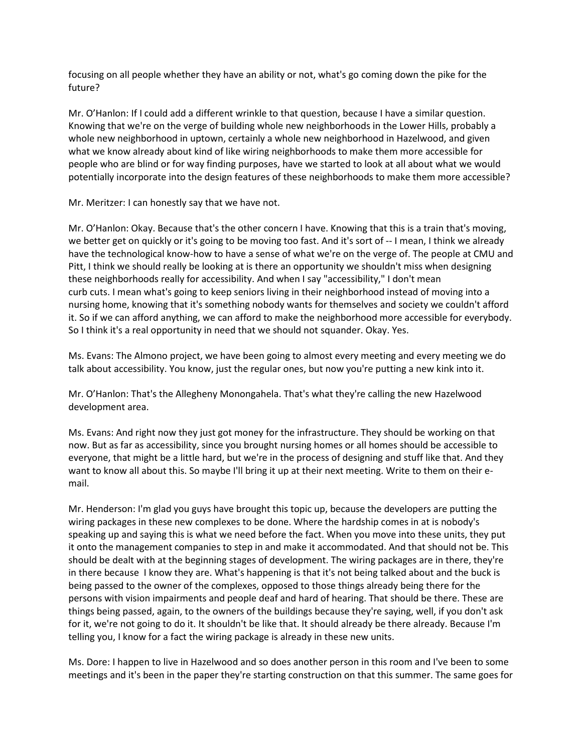focusing on all people whether they have an ability or not, what's go coming down the pike for the future?

Mr. O'Hanlon: If I could add a different wrinkle to that question, because I have a similar question. Knowing that we're on the verge of building whole new neighborhoods in the Lower Hills, probably a whole new neighborhood in uptown, certainly a whole new neighborhood in Hazelwood, and given what we know already about kind of like wiring neighborhoods to make them more accessible for people who are blind or for way finding purposes, have we started to look at all about what we would potentially incorporate into the design features of these neighborhoods to make them more accessible?

Mr. Meritzer: I can honestly say that we have not.

Mr. O'Hanlon: Okay. Because that's the other concern I have. Knowing that this is a train that's moving, we better get on quickly or it's going to be moving too fast. And it's sort of -- I mean, I think we already have the technological know-how to have a sense of what we're on the verge of. The people at CMU and Pitt, I think we should really be looking at is there an opportunity we shouldn't miss when designing these neighborhoods really for accessibility. And when I say "accessibility," I don't mean curb cuts. I mean what's going to keep seniors living in their neighborhood instead of moving into a nursing home, knowing that it's something nobody wants for themselves and society we couldn't afford it. So if we can afford anything, we can afford to make the neighborhood more accessible for everybody. So I think it's a real opportunity in need that we should not squander. Okay. Yes.

Ms. Evans: The Almono project, we have been going to almost every meeting and every meeting we do talk about accessibility. You know, just the regular ones, but now you're putting a new kink into it.

Mr. O'Hanlon: That's the Allegheny Monongahela. That's what they're calling the new Hazelwood development area.

Ms. Evans: And right now they just got money for the infrastructure. They should be working on that now. But as far as accessibility, since you brought nursing homes or all homes should be accessible to everyone, that might be a little hard, but we're in the process of designing and stuff like that. And they want to know all about this. So maybe I'll bring it up at their next meeting. Write to them on their email.

Mr. Henderson: I'm glad you guys have brought this topic up, because the developers are putting the wiring packages in these new complexes to be done. Where the hardship comes in at is nobody's speaking up and saying this is what we need before the fact. When you move into these units, they put it onto the management companies to step in and make it accommodated. And that should not be. This should be dealt with at the beginning stages of development. The wiring packages are in there, they're in there because I know they are. What's happening is that it's not being talked about and the buck is being passed to the owner of the complexes, opposed to those things already being there for the persons with vision impairments and people deaf and hard of hearing. That should be there. These are things being passed, again, to the owners of the buildings because they're saying, well, if you don't ask for it, we're not going to do it. It shouldn't be like that. It should already be there already. Because I'm telling you, I know for a fact the wiring package is already in these new units.

Ms. Dore: I happen to live in Hazelwood and so does another person in this room and I've been to some meetings and it's been in the paper they're starting construction on that this summer. The same goes for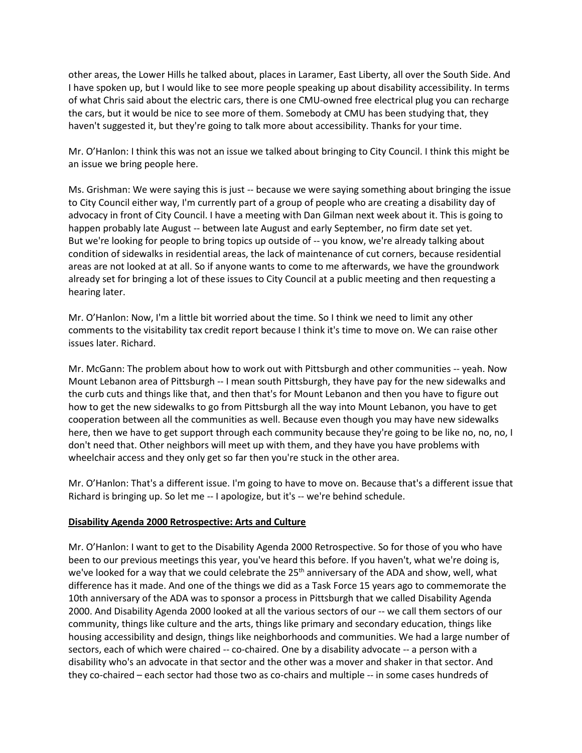other areas, the Lower Hills he talked about, places in Laramer, East Liberty, all over the South Side. And I have spoken up, but I would like to see more people speaking up about disability accessibility. In terms of what Chris said about the electric cars, there is one CMU-owned free electrical plug you can recharge the cars, but it would be nice to see more of them. Somebody at CMU has been studying that, they haven't suggested it, but they're going to talk more about accessibility. Thanks for your time.

Mr. O'Hanlon: I think this was not an issue we talked about bringing to City Council. I think this might be an issue we bring people here.

Ms. Grishman: We were saying this is just -- because we were saying something about bringing the issue to City Council either way, I'm currently part of a group of people who are creating a disability day of advocacy in front of City Council. I have a meeting with Dan Gilman next week about it. This is going to happen probably late August -- between late August and early September, no firm date set yet. But we're looking for people to bring topics up outside of -- you know, we're already talking about condition of sidewalks in residential areas, the lack of maintenance of cut corners, because residential areas are not looked at at all. So if anyone wants to come to me afterwards, we have the groundwork already set for bringing a lot of these issues to City Council at a public meeting and then requesting a hearing later.

Mr. O'Hanlon: Now, I'm a little bit worried about the time. So I think we need to limit any other comments to the visitability tax credit report because I think it's time to move on. We can raise other issues later. Richard.

Mr. McGann: The problem about how to work out with Pittsburgh and other communities -- yeah. Now Mount Lebanon area of Pittsburgh -- I mean south Pittsburgh, they have pay for the new sidewalks and the curb cuts and things like that, and then that's for Mount Lebanon and then you have to figure out how to get the new sidewalks to go from Pittsburgh all the way into Mount Lebanon, you have to get cooperation between all the communities as well. Because even though you may have new sidewalks here, then we have to get support through each community because they're going to be like no, no, no, I don't need that. Other neighbors will meet up with them, and they have you have problems with wheelchair access and they only get so far then you're stuck in the other area.

Mr. O'Hanlon: That's a different issue. I'm going to have to move on. Because that's a different issue that Richard is bringing up. So let me -- I apologize, but it's -- we're behind schedule.

## **Disability Agenda 2000 Retrospective: Arts and Culture**

Mr. O'Hanlon: I want to get to the Disability Agenda 2000 Retrospective. So for those of you who have been to our previous meetings this year, you've heard this before. If you haven't, what we're doing is, we've looked for a way that we could celebrate the  $25<sup>th</sup>$  anniversary of the ADA and show, well, what difference has it made. And one of the things we did as a Task Force 15 years ago to commemorate the 10th anniversary of the ADA was to sponsor a process in Pittsburgh that we called Disability Agenda 2000. And Disability Agenda 2000 looked at all the various sectors of our -- we call them sectors of our community, things like culture and the arts, things like primary and secondary education, things like housing accessibility and design, things like neighborhoods and communities. We had a large number of sectors, each of which were chaired -- co-chaired. One by a disability advocate -- a person with a disability who's an advocate in that sector and the other was a mover and shaker in that sector. And they co-chaired – each sector had those two as co-chairs and multiple -- in some cases hundreds of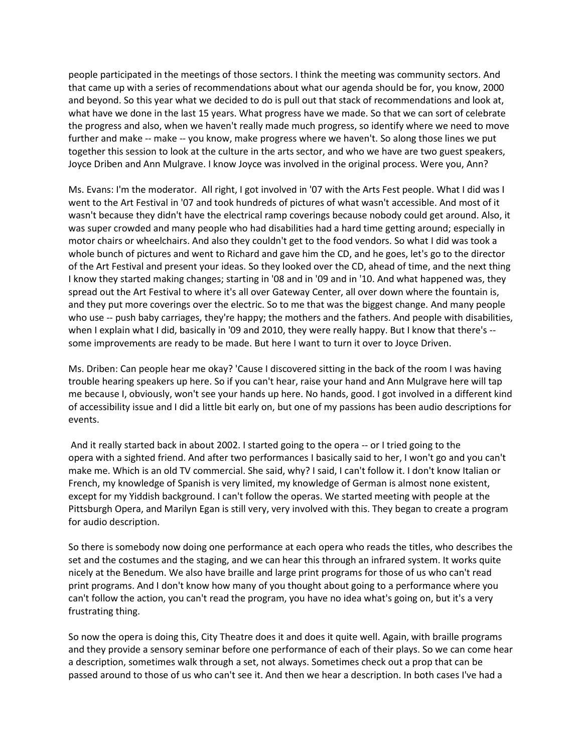people participated in the meetings of those sectors. I think the meeting was community sectors. And that came up with a series of recommendations about what our agenda should be for, you know, 2000 and beyond. So this year what we decided to do is pull out that stack of recommendations and look at, what have we done in the last 15 years. What progress have we made. So that we can sort of celebrate the progress and also, when we haven't really made much progress, so identify where we need to move further and make -- make -- you know, make progress where we haven't. So along those lines we put together this session to look at the culture in the arts sector, and who we have are two guest speakers, Joyce Driben and Ann Mulgrave. I know Joyce was involved in the original process. Were you, Ann?

Ms. Evans: I'm the moderator. All right, I got involved in '07 with the Arts Fest people. What I did was I went to the Art Festival in '07 and took hundreds of pictures of what wasn't accessible. And most of it wasn't because they didn't have the electrical ramp coverings because nobody could get around. Also, it was super crowded and many people who had disabilities had a hard time getting around; especially in motor chairs or wheelchairs. And also they couldn't get to the food vendors. So what I did was took a whole bunch of pictures and went to Richard and gave him the CD, and he goes, let's go to the director of the Art Festival and present your ideas. So they looked over the CD, ahead of time, and the next thing I know they started making changes; starting in '08 and in '09 and in '10. And what happened was, they spread out the Art Festival to where it's all over Gateway Center, all over down where the fountain is, and they put more coverings over the electric. So to me that was the biggest change. And many people who use -- push baby carriages, they're happy; the mothers and the fathers. And people with disabilities, when I explain what I did, basically in '09 and 2010, they were really happy. But I know that there's - some improvements are ready to be made. But here I want to turn it over to Joyce Driven.

Ms. Driben: Can people hear me okay? 'Cause I discovered sitting in the back of the room I was having trouble hearing speakers up here. So if you can't hear, raise your hand and Ann Mulgrave here will tap me because I, obviously, won't see your hands up here. No hands, good. I got involved in a different kind of accessibility issue and I did a little bit early on, but one of my passions has been audio descriptions for events.

And it really started back in about 2002. I started going to the opera -- or I tried going to the opera with a sighted friend. And after two performances I basically said to her, I won't go and you can't make me. Which is an old TV commercial. She said, why? I said, I can't follow it. I don't know Italian or French, my knowledge of Spanish is very limited, my knowledge of German is almost none existent, except for my Yiddish background. I can't follow the operas. We started meeting with people at the Pittsburgh Opera, and Marilyn Egan is still very, very involved with this. They began to create a program for audio description.

So there is somebody now doing one performance at each opera who reads the titles, who describes the set and the costumes and the staging, and we can hear this through an infrared system. It works quite nicely at the Benedum. We also have braille and large print programs for those of us who can't read print programs. And I don't know how many of you thought about going to a performance where you can't follow the action, you can't read the program, you have no idea what's going on, but it's a very frustrating thing.

So now the opera is doing this, City Theatre does it and does it quite well. Again, with braille programs and they provide a sensory seminar before one performance of each of their plays. So we can come hear a description, sometimes walk through a set, not always. Sometimes check out a prop that can be passed around to those of us who can't see it. And then we hear a description. In both cases I've had a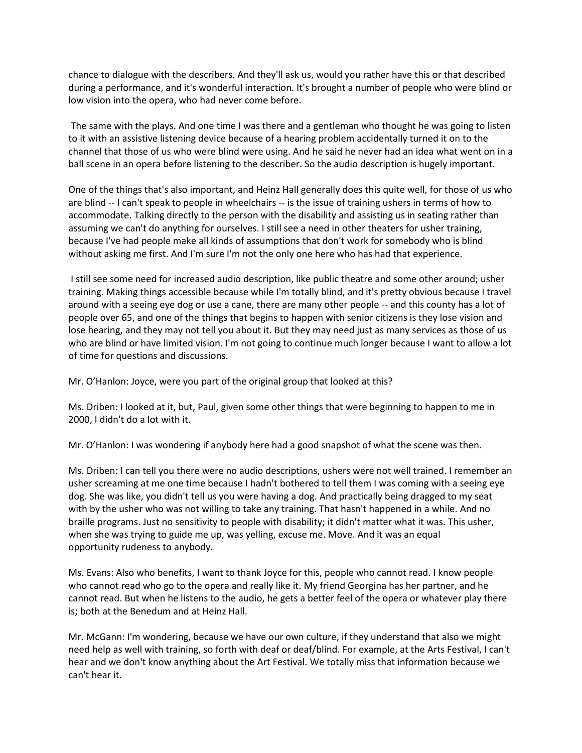chance to dialogue with the describers. And they'll ask us, would you rather have this or that described during a performance, and it's wonderful interaction. It's brought a number of people who were blind or low vision into the opera, who had never come before.

The same with the plays. And one time I was there and a gentleman who thought he was going to listen to it with an assistive listening device because of a hearing problem accidentally turned it on to the channel that those of us who were blind were using. And he said he never had an idea what went on in a ball scene in an opera before listening to the describer. So the audio description is hugely important.

One of the things that's also important, and Heinz Hall generally does this quite well, for those of us who are blind -- I can't speak to people in wheelchairs -- is the issue of training ushers in terms of how to accommodate. Talking directly to the person with the disability and assisting us in seating rather than assuming we can't do anything for ourselves. I still see a need in other theaters for usher training, because I've had people make all kinds of assumptions that don't work for somebody who is blind without asking me first. And I'm sure I'm not the only one here who has had that experience.

I still see some need for increased audio description, like public theatre and some other around; usher training. Making things accessible because while I'm totally blind, and it's pretty obvious because I travel around with a seeing eye dog or use a cane, there are many other people -- and this county has a lot of people over 65, and one of the things that begins to happen with senior citizens is they lose vision and lose hearing, and they may not tell you about it. But they may need just as many services as those of us who are blind or have limited vision. I'm not going to continue much longer because I want to allow a lot of time for questions and discussions.

Mr. O'Hanlon: Joyce, were you part of the original group that looked at this?

Ms. Driben: I looked at it, but, Paul, given some other things that were beginning to happen to me in 2000, I didn't do a lot with it.

Mr. O'Hanlon: I was wondering if anybody here had a good snapshot of what the scene was then.

Ms. Driben: I can tell you there were no audio descriptions, ushers were not well trained. I remember an usher screaming at me one time because I hadn't bothered to tell them I was coming with a seeing eye dog. She was like, you didn't tell us you were having a dog. And practically being dragged to my seat with by the usher who was not willing to take any training. That hasn't happened in a while. And no braille programs. Just no sensitivity to people with disability; it didn't matter what it was. This usher, when she was trying to guide me up, was yelling, excuse me. Move. And it was an equal opportunity rudeness to anybody.

Ms. Evans: Also who benefits, I want to thank Joyce for this, people who cannot read. I know people who cannot read who go to the opera and really like it. My friend Georgina has her partner, and he cannot read. But when he listens to the audio, he gets a better feel of the opera or whatever play there is; both at the Benedum and at Heinz Hall.

Mr. McGann: I'm wondering, because we have our own culture, if they understand that also we might need help as well with training, so forth with deaf or deaf/blind. For example, at the Arts Festival, I can't hear and we don't know anything about the Art Festival. We totally miss that information because we can't hear it.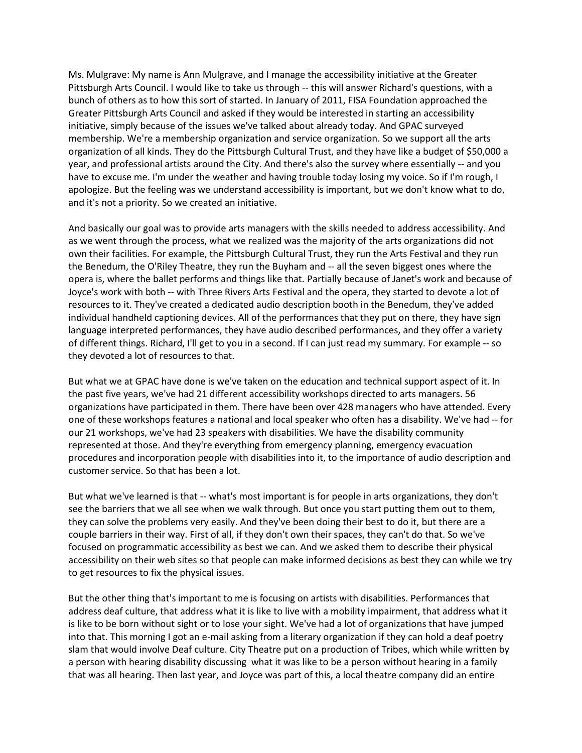Ms. Mulgrave: My name is Ann Mulgrave, and I manage the accessibility initiative at the Greater Pittsburgh Arts Council. I would like to take us through -- this will answer Richard's questions, with a bunch of others as to how this sort of started. In January of 2011, FISA Foundation approached the Greater Pittsburgh Arts Council and asked if they would be interested in starting an accessibility initiative, simply because of the issues we've talked about already today. And GPAC surveyed membership. We're a membership organization and service organization. So we support all the arts organization of all kinds. They do the Pittsburgh Cultural Trust, and they have like a budget of \$50,000 a year, and professional artists around the City. And there's also the survey where essentially -- and you have to excuse me. I'm under the weather and having trouble today losing my voice. So if I'm rough, I apologize. But the feeling was we understand accessibility is important, but we don't know what to do, and it's not a priority. So we created an initiative.

And basically our goal was to provide arts managers with the skills needed to address accessibility. And as we went through the process, what we realized was the majority of the arts organizations did not own their facilities. For example, the Pittsburgh Cultural Trust, they run the Arts Festival and they run the Benedum, the O'Riley Theatre, they run the Buyham and -- all the seven biggest ones where the opera is, where the ballet performs and things like that. Partially because of Janet's work and because of Joyce's work with both -- with Three Rivers Arts Festival and the opera, they started to devote a lot of resources to it. They've created a dedicated audio description booth in the Benedum, they've added individual handheld captioning devices. All of the performances that they put on there, they have sign language interpreted performances, they have audio described performances, and they offer a variety of different things. Richard, I'll get to you in a second. If I can just read my summary. For example -- so they devoted a lot of resources to that.

But what we at GPAC have done is we've taken on the education and technical support aspect of it. In the past five years, we've had 21 different accessibility workshops directed to arts managers. 56 organizations have participated in them. There have been over 428 managers who have attended. Every one of these workshops features a national and local speaker who often has a disability. We've had -- for our 21 workshops, we've had 23 speakers with disabilities. We have the disability community represented at those. And they're everything from emergency planning, emergency evacuation procedures and incorporation people with disabilities into it, to the importance of audio description and customer service. So that has been a lot.

But what we've learned is that -- what's most important is for people in arts organizations, they don't see the barriers that we all see when we walk through. But once you start putting them out to them, they can solve the problems very easily. And they've been doing their best to do it, but there are a couple barriers in their way. First of all, if they don't own their spaces, they can't do that. So we've focused on programmatic accessibility as best we can. And we asked them to describe their physical accessibility on their web sites so that people can make informed decisions as best they can while we try to get resources to fix the physical issues.

But the other thing that's important to me is focusing on artists with disabilities. Performances that address deaf culture, that address what it is like to live with a mobility impairment, that address what it is like to be born without sight or to lose your sight. We've had a lot of organizations that have jumped into that. This morning I got an e-mail asking from a literary organization if they can hold a deaf poetry slam that would involve Deaf culture. City Theatre put on a production of Tribes, which while written by a person with hearing disability discussing what it was like to be a person without hearing in a family that was all hearing. Then last year, and Joyce was part of this, a local theatre company did an entire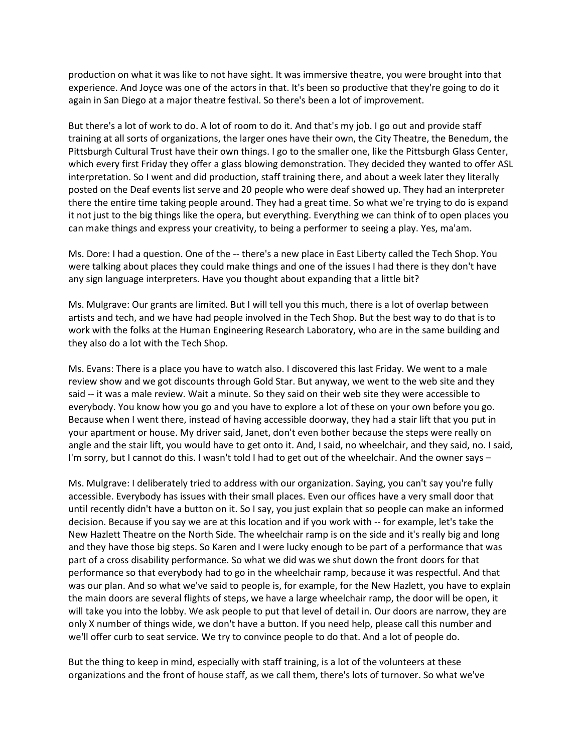production on what it was like to not have sight. It was immersive theatre, you were brought into that experience. And Joyce was one of the actors in that. It's been so productive that they're going to do it again in San Diego at a major theatre festival. So there's been a lot of improvement.

But there's a lot of work to do. A lot of room to do it. And that's my job. I go out and provide staff training at all sorts of organizations, the larger ones have their own, the City Theatre, the Benedum, the Pittsburgh Cultural Trust have their own things. I go to the smaller one, like the Pittsburgh Glass Center, which every first Friday they offer a glass blowing demonstration. They decided they wanted to offer ASL interpretation. So I went and did production, staff training there, and about a week later they literally posted on the Deaf events list serve and 20 people who were deaf showed up. They had an interpreter there the entire time taking people around. They had a great time. So what we're trying to do is expand it not just to the big things like the opera, but everything. Everything we can think of to open places you can make things and express your creativity, to being a performer to seeing a play. Yes, ma'am.

Ms. Dore: I had a question. One of the -- there's a new place in East Liberty called the Tech Shop. You were talking about places they could make things and one of the issues I had there is they don't have any sign language interpreters. Have you thought about expanding that a little bit?

Ms. Mulgrave: Our grants are limited. But I will tell you this much, there is a lot of overlap between artists and tech, and we have had people involved in the Tech Shop. But the best way to do that is to work with the folks at the Human Engineering Research Laboratory, who are in the same building and they also do a lot with the Tech Shop.

Ms. Evans: There is a place you have to watch also. I discovered this last Friday. We went to a male review show and we got discounts through Gold Star. But anyway, we went to the web site and they said -- it was a male review. Wait a minute. So they said on their web site they were accessible to everybody. You know how you go and you have to explore a lot of these on your own before you go. Because when I went there, instead of having accessible doorway, they had a stair lift that you put in your apartment or house. My driver said, Janet, don't even bother because the steps were really on angle and the stair lift, you would have to get onto it. And, I said, no wheelchair, and they said, no. I said, I'm sorry, but I cannot do this. I wasn't told I had to get out of the wheelchair. And the owner says –

Ms. Mulgrave: I deliberately tried to address with our organization. Saying, you can't say you're fully accessible. Everybody has issues with their small places. Even our offices have a very small door that until recently didn't have a button on it. So I say, you just explain that so people can make an informed decision. Because if you say we are at this location and if you work with -- for example, let's take the New Hazlett Theatre on the North Side. The wheelchair ramp is on the side and it's really big and long and they have those big steps. So Karen and I were lucky enough to be part of a performance that was part of a cross disability performance. So what we did was we shut down the front doors for that performance so that everybody had to go in the wheelchair ramp, because it was respectful. And that was our plan. And so what we've said to people is, for example, for the New Hazlett, you have to explain the main doors are several flights of steps, we have a large wheelchair ramp, the door will be open, it will take you into the lobby. We ask people to put that level of detail in. Our doors are narrow, they are only X number of things wide, we don't have a button. If you need help, please call this number and we'll offer curb to seat service. We try to convince people to do that. And a lot of people do.

But the thing to keep in mind, especially with staff training, is a lot of the volunteers at these organizations and the front of house staff, as we call them, there's lots of turnover. So what we've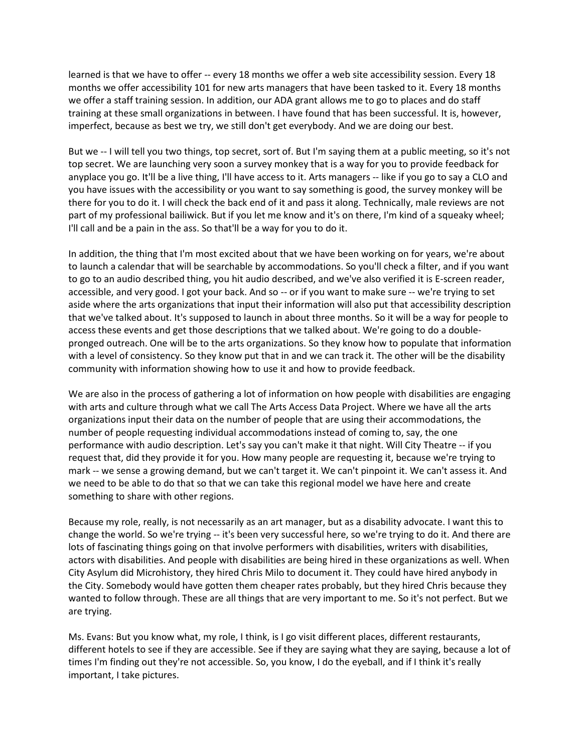learned is that we have to offer -- every 18 months we offer a web site accessibility session. Every 18 months we offer accessibility 101 for new arts managers that have been tasked to it. Every 18 months we offer a staff training session. In addition, our ADA grant allows me to go to places and do staff training at these small organizations in between. I have found that has been successful. It is, however, imperfect, because as best we try, we still don't get everybody. And we are doing our best.

But we -- I will tell you two things, top secret, sort of. But I'm saying them at a public meeting, so it's not top secret. We are launching very soon a survey monkey that is a way for you to provide feedback for anyplace you go. It'll be a live thing, I'll have access to it. Arts managers -- like if you go to say a CLO and you have issues with the accessibility or you want to say something is good, the survey monkey will be there for you to do it. I will check the back end of it and pass it along. Technically, male reviews are not part of my professional bailiwick. But if you let me know and it's on there, I'm kind of a squeaky wheel; I'll call and be a pain in the ass. So that'll be a way for you to do it.

In addition, the thing that I'm most excited about that we have been working on for years, we're about to launch a calendar that will be searchable by accommodations. So you'll check a filter, and if you want to go to an audio described thing, you hit audio described, and we've also verified it is E-screen reader, accessible, and very good. I got your back. And so -- or if you want to make sure -- we're trying to set aside where the arts organizations that input their information will also put that accessibility description that we've talked about. It's supposed to launch in about three months. So it will be a way for people to access these events and get those descriptions that we talked about. We're going to do a doublepronged outreach. One will be to the arts organizations. So they know how to populate that information with a level of consistency. So they know put that in and we can track it. The other will be the disability community with information showing how to use it and how to provide feedback.

We are also in the process of gathering a lot of information on how people with disabilities are engaging with arts and culture through what we call The Arts Access Data Project. Where we have all the arts organizations input their data on the number of people that are using their accommodations, the number of people requesting individual accommodations instead of coming to, say, the one performance with audio description. Let's say you can't make it that night. Will City Theatre -- if you request that, did they provide it for you. How many people are requesting it, because we're trying to mark -- we sense a growing demand, but we can't target it. We can't pinpoint it. We can't assess it. And we need to be able to do that so that we can take this regional model we have here and create something to share with other regions.

Because my role, really, is not necessarily as an art manager, but as a disability advocate. I want this to change the world. So we're trying -- it's been very successful here, so we're trying to do it. And there are lots of fascinating things going on that involve performers with disabilities, writers with disabilities, actors with disabilities. And people with disabilities are being hired in these organizations as well. When City Asylum did Microhistory, they hired Chris Milo to document it. They could have hired anybody in the City. Somebody would have gotten them cheaper rates probably, but they hired Chris because they wanted to follow through. These are all things that are very important to me. So it's not perfect. But we are trying.

Ms. Evans: But you know what, my role, I think, is I go visit different places, different restaurants, different hotels to see if they are accessible. See if they are saying what they are saying, because a lot of times I'm finding out they're not accessible. So, you know, I do the eyeball, and if I think it's really important, I take pictures.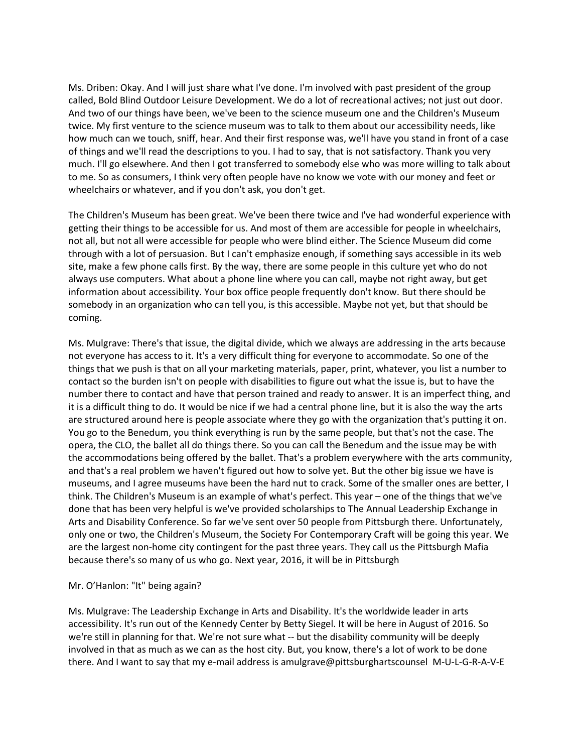Ms. Driben: Okay. And I will just share what I've done. I'm involved with past president of the group called, Bold Blind Outdoor Leisure Development. We do a lot of recreational actives; not just out door. And two of our things have been, we've been to the science museum one and the Children's Museum twice. My first venture to the science museum was to talk to them about our accessibility needs, like how much can we touch, sniff, hear. And their first response was, we'll have you stand in front of a case of things and we'll read the descriptions to you. I had to say, that is not satisfactory. Thank you very much. I'll go elsewhere. And then I got transferred to somebody else who was more willing to talk about to me. So as consumers, I think very often people have no know we vote with our money and feet or wheelchairs or whatever, and if you don't ask, you don't get.

The Children's Museum has been great. We've been there twice and I've had wonderful experience with getting their things to be accessible for us. And most of them are accessible for people in wheelchairs, not all, but not all were accessible for people who were blind either. The Science Museum did come through with a lot of persuasion. But I can't emphasize enough, if something says accessible in its web site, make a few phone calls first. By the way, there are some people in this culture yet who do not always use computers. What about a phone line where you can call, maybe not right away, but get information about accessibility. Your box office people frequently don't know. But there should be somebody in an organization who can tell you, is this accessible. Maybe not yet, but that should be coming.

Ms. Mulgrave: There's that issue, the digital divide, which we always are addressing in the arts because not everyone has access to it. It's a very difficult thing for everyone to accommodate. So one of the things that we push is that on all your marketing materials, paper, print, whatever, you list a number to contact so the burden isn't on people with disabilities to figure out what the issue is, but to have the number there to contact and have that person trained and ready to answer. It is an imperfect thing, and it is a difficult thing to do. It would be nice if we had a central phone line, but it is also the way the arts are structured around here is people associate where they go with the organization that's putting it on. You go to the Benedum, you think everything is run by the same people, but that's not the case. The opera, the CLO, the ballet all do things there. So you can call the Benedum and the issue may be with the accommodations being offered by the ballet. That's a problem everywhere with the arts community, and that's a real problem we haven't figured out how to solve yet. But the other big issue we have is museums, and I agree museums have been the hard nut to crack. Some of the smaller ones are better, I think. The Children's Museum is an example of what's perfect. This year – one of the things that we've done that has been very helpful is we've provided scholarships to The Annual Leadership Exchange in Arts and Disability Conference. So far we've sent over 50 people from Pittsburgh there. Unfortunately, only one or two, the Children's Museum, the Society For Contemporary Craft will be going this year. We are the largest non-home city contingent for the past three years. They call us the Pittsburgh Mafia because there's so many of us who go. Next year, 2016, it will be in Pittsburgh

#### Mr. O'Hanlon: "It" being again?

Ms. Mulgrave: The Leadership Exchange in Arts and Disability. It's the worldwide leader in arts accessibility. It's run out of the Kennedy Center by Betty Siegel. It will be here in August of 2016. So we're still in planning for that. We're not sure what -- but the disability community will be deeply involved in that as much as we can as the host city. But, you know, there's a lot of work to be done there. And I want to say that my e-mail address is amulgrave@pittsburghartscounsel M-U-L-G-R-A-V-E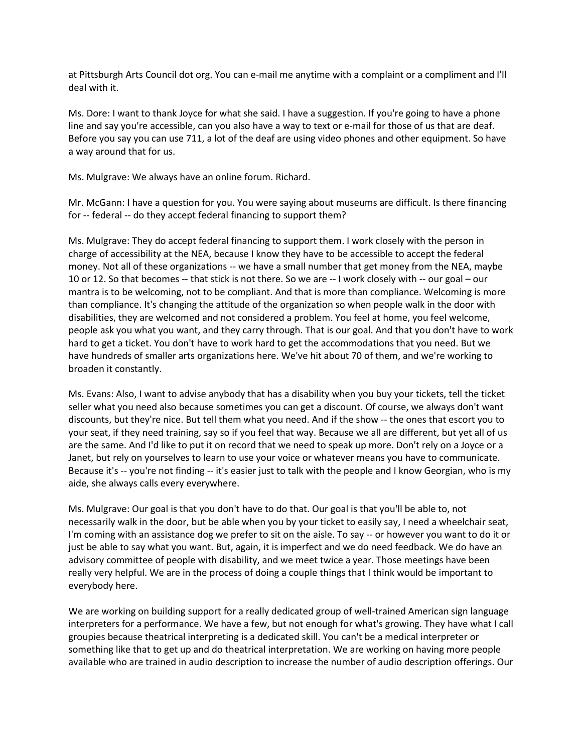at Pittsburgh Arts Council dot org. You can e-mail me anytime with a complaint or a compliment and I'll deal with it.

Ms. Dore: I want to thank Joyce for what she said. I have a suggestion. If you're going to have a phone line and say you're accessible, can you also have a way to text or e-mail for those of us that are deaf. Before you say you can use 711, a lot of the deaf are using video phones and other equipment. So have a way around that for us.

Ms. Mulgrave: We always have an online forum. Richard.

Mr. McGann: I have a question for you. You were saying about museums are difficult. Is there financing for -- federal -- do they accept federal financing to support them?

Ms. Mulgrave: They do accept federal financing to support them. I work closely with the person in charge of accessibility at the NEA, because I know they have to be accessible to accept the federal money. Not all of these organizations -- we have a small number that get money from the NEA, maybe 10 or 12. So that becomes -- that stick is not there. So we are -- I work closely with -- our goal – our mantra is to be welcoming, not to be compliant. And that is more than compliance. Welcoming is more than compliance. It's changing the attitude of the organization so when people walk in the door with disabilities, they are welcomed and not considered a problem. You feel at home, you feel welcome, people ask you what you want, and they carry through. That is our goal. And that you don't have to work hard to get a ticket. You don't have to work hard to get the accommodations that you need. But we have hundreds of smaller arts organizations here. We've hit about 70 of them, and we're working to broaden it constantly.

Ms. Evans: Also, I want to advise anybody that has a disability when you buy your tickets, tell the ticket seller what you need also because sometimes you can get a discount. Of course, we always don't want discounts, but they're nice. But tell them what you need. And if the show -- the ones that escort you to your seat, if they need training, say so if you feel that way. Because we all are different, but yet all of us are the same. And I'd like to put it on record that we need to speak up more. Don't rely on a Joyce or a Janet, but rely on yourselves to learn to use your voice or whatever means you have to communicate. Because it's -- you're not finding -- it's easier just to talk with the people and I know Georgian, who is my aide, she always calls every everywhere.

Ms. Mulgrave: Our goal is that you don't have to do that. Our goal is that you'll be able to, not necessarily walk in the door, but be able when you by your ticket to easily say, I need a wheelchair seat, I'm coming with an assistance dog we prefer to sit on the aisle. To say -- or however you want to do it or just be able to say what you want. But, again, it is imperfect and we do need feedback. We do have an advisory committee of people with disability, and we meet twice a year. Those meetings have been really very helpful. We are in the process of doing a couple things that I think would be important to everybody here.

We are working on building support for a really dedicated group of well-trained American sign language interpreters for a performance. We have a few, but not enough for what's growing. They have what I call groupies because theatrical interpreting is a dedicated skill. You can't be a medical interpreter or something like that to get up and do theatrical interpretation. We are working on having more people available who are trained in audio description to increase the number of audio description offerings. Our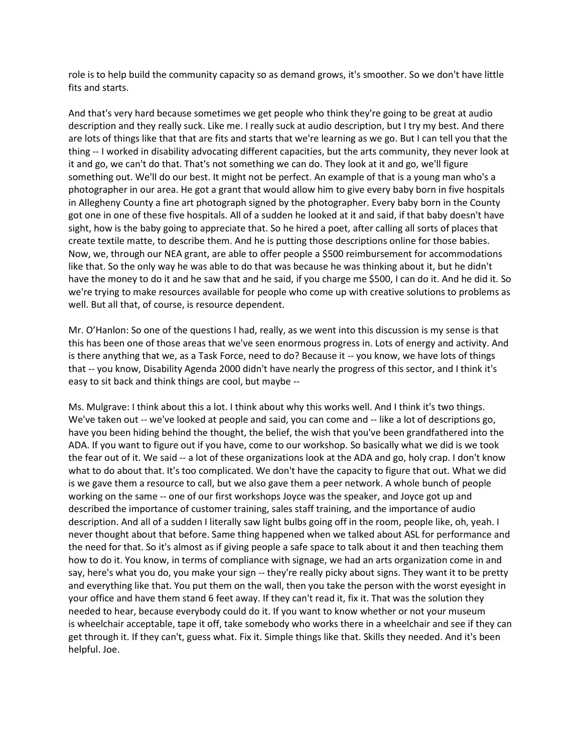role is to help build the community capacity so as demand grows, it's smoother. So we don't have little fits and starts.

And that's very hard because sometimes we get people who think they're going to be great at audio description and they really suck. Like me. I really suck at audio description, but I try my best. And there are lots of things like that that are fits and starts that we're learning as we go. But I can tell you that the thing -- I worked in disability advocating different capacities, but the arts community, they never look at it and go, we can't do that. That's not something we can do. They look at it and go, we'll figure something out. We'll do our best. It might not be perfect. An example of that is a young man who's a photographer in our area. He got a grant that would allow him to give every baby born in five hospitals in Allegheny County a fine art photograph signed by the photographer. Every baby born in the County got one in one of these five hospitals. All of a sudden he looked at it and said, if that baby doesn't have sight, how is the baby going to appreciate that. So he hired a poet, after calling all sorts of places that create textile matte, to describe them. And he is putting those descriptions online for those babies. Now, we, through our NEA grant, are able to offer people a \$500 reimbursement for accommodations like that. So the only way he was able to do that was because he was thinking about it, but he didn't have the money to do it and he saw that and he said, if you charge me \$500, I can do it. And he did it. So we're trying to make resources available for people who come up with creative solutions to problems as well. But all that, of course, is resource dependent.

Mr. O'Hanlon: So one of the questions I had, really, as we went into this discussion is my sense is that this has been one of those areas that we've seen enormous progress in. Lots of energy and activity. And is there anything that we, as a Task Force, need to do? Because it -- you know, we have lots of things that -- you know, Disability Agenda 2000 didn't have nearly the progress of this sector, and I think it's easy to sit back and think things are cool, but maybe --

Ms. Mulgrave: I think about this a lot. I think about why this works well. And I think it's two things. We've taken out -- we've looked at people and said, you can come and -- like a lot of descriptions go, have you been hiding behind the thought, the belief, the wish that you've been grandfathered into the ADA. If you want to figure out if you have, come to our workshop. So basically what we did is we took the fear out of it. We said -- a lot of these organizations look at the ADA and go, holy crap. I don't know what to do about that. It's too complicated. We don't have the capacity to figure that out. What we did is we gave them a resource to call, but we also gave them a peer network. A whole bunch of people working on the same -- one of our first workshops Joyce was the speaker, and Joyce got up and described the importance of customer training, sales staff training, and the importance of audio description. And all of a sudden I literally saw light bulbs going off in the room, people like, oh, yeah. I never thought about that before. Same thing happened when we talked about ASL for performance and the need for that. So it's almost as if giving people a safe space to talk about it and then teaching them how to do it. You know, in terms of compliance with signage, we had an arts organization come in and say, here's what you do, you make your sign -- they're really picky about signs. They want it to be pretty and everything like that. You put them on the wall, then you take the person with the worst eyesight in your office and have them stand 6 feet away. If they can't read it, fix it. That was the solution they needed to hear, because everybody could do it. If you want to know whether or not your museum is wheelchair acceptable, tape it off, take somebody who works there in a wheelchair and see if they can get through it. If they can't, guess what. Fix it. Simple things like that. Skills they needed. And it's been helpful. Joe.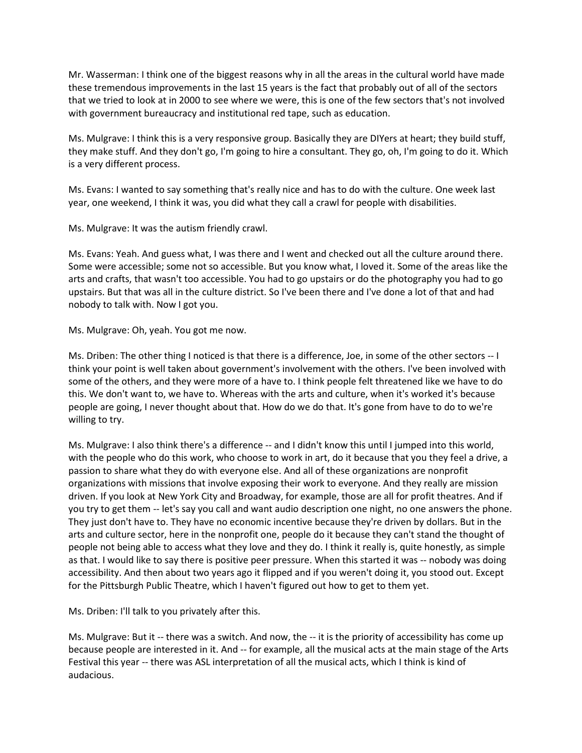Mr. Wasserman: I think one of the biggest reasons why in all the areas in the cultural world have made these tremendous improvements in the last 15 years is the fact that probably out of all of the sectors that we tried to look at in 2000 to see where we were, this is one of the few sectors that's not involved with government bureaucracy and institutional red tape, such as education.

Ms. Mulgrave: I think this is a very responsive group. Basically they are DIYers at heart; they build stuff, they make stuff. And they don't go, I'm going to hire a consultant. They go, oh, I'm going to do it. Which is a very different process.

Ms. Evans: I wanted to say something that's really nice and has to do with the culture. One week last year, one weekend, I think it was, you did what they call a crawl for people with disabilities.

Ms. Mulgrave: It was the autism friendly crawl.

Ms. Evans: Yeah. And guess what, I was there and I went and checked out all the culture around there. Some were accessible; some not so accessible. But you know what, I loved it. Some of the areas like the arts and crafts, that wasn't too accessible. You had to go upstairs or do the photography you had to go upstairs. But that was all in the culture district. So I've been there and I've done a lot of that and had nobody to talk with. Now I got you.

Ms. Mulgrave: Oh, yeah. You got me now.

Ms. Driben: The other thing I noticed is that there is a difference, Joe, in some of the other sectors -- I think your point is well taken about government's involvement with the others. I've been involved with some of the others, and they were more of a have to. I think people felt threatened like we have to do this. We don't want to, we have to. Whereas with the arts and culture, when it's worked it's because people are going, I never thought about that. How do we do that. It's gone from have to do to we're willing to try.

Ms. Mulgrave: I also think there's a difference -- and I didn't know this until I jumped into this world, with the people who do this work, who choose to work in art, do it because that you they feel a drive, a passion to share what they do with everyone else. And all of these organizations are nonprofit organizations with missions that involve exposing their work to everyone. And they really are mission driven. If you look at New York City and Broadway, for example, those are all for profit theatres. And if you try to get them -- let's say you call and want audio description one night, no one answers the phone. They just don't have to. They have no economic incentive because they're driven by dollars. But in the arts and culture sector, here in the nonprofit one, people do it because they can't stand the thought of people not being able to access what they love and they do. I think it really is, quite honestly, as simple as that. I would like to say there is positive peer pressure. When this started it was -- nobody was doing accessibility. And then about two years ago it flipped and if you weren't doing it, you stood out. Except for the Pittsburgh Public Theatre, which I haven't figured out how to get to them yet.

Ms. Driben: I'll talk to you privately after this.

Ms. Mulgrave: But it -- there was a switch. And now, the -- it is the priority of accessibility has come up because people are interested in it. And -- for example, all the musical acts at the main stage of the Arts Festival this year -- there was ASL interpretation of all the musical acts, which I think is kind of audacious.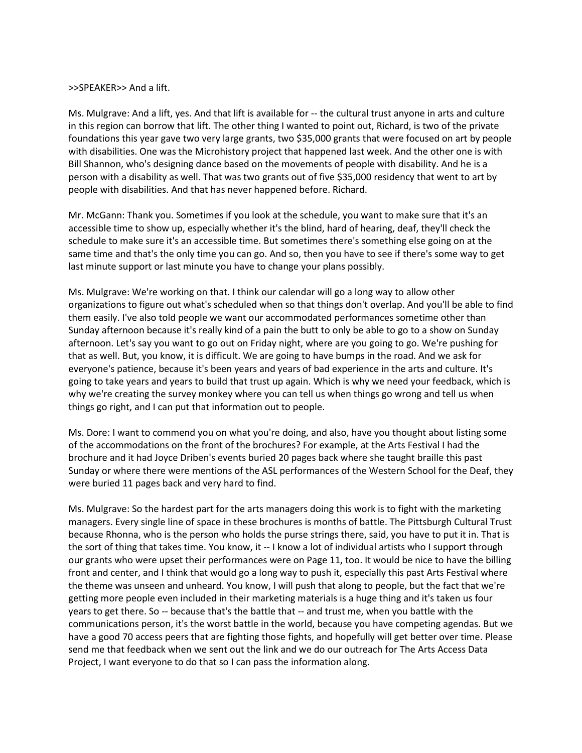#### >>SPEAKER>> And a lift.

Ms. Mulgrave: And a lift, yes. And that lift is available for -- the cultural trust anyone in arts and culture in this region can borrow that lift. The other thing I wanted to point out, Richard, is two of the private foundations this year gave two very large grants, two \$35,000 grants that were focused on art by people with disabilities. One was the Microhistory project that happened last week. And the other one is with Bill Shannon, who's designing dance based on the movements of people with disability. And he is a person with a disability as well. That was two grants out of five \$35,000 residency that went to art by people with disabilities. And that has never happened before. Richard.

Mr. McGann: Thank you. Sometimes if you look at the schedule, you want to make sure that it's an accessible time to show up, especially whether it's the blind, hard of hearing, deaf, they'll check the schedule to make sure it's an accessible time. But sometimes there's something else going on at the same time and that's the only time you can go. And so, then you have to see if there's some way to get last minute support or last minute you have to change your plans possibly.

Ms. Mulgrave: We're working on that. I think our calendar will go a long way to allow other organizations to figure out what's scheduled when so that things don't overlap. And you'll be able to find them easily. I've also told people we want our accommodated performances sometime other than Sunday afternoon because it's really kind of a pain the butt to only be able to go to a show on Sunday afternoon. Let's say you want to go out on Friday night, where are you going to go. We're pushing for that as well. But, you know, it is difficult. We are going to have bumps in the road. And we ask for everyone's patience, because it's been years and years of bad experience in the arts and culture. It's going to take years and years to build that trust up again. Which is why we need your feedback, which is why we're creating the survey monkey where you can tell us when things go wrong and tell us when things go right, and I can put that information out to people.

Ms. Dore: I want to commend you on what you're doing, and also, have you thought about listing some of the accommodations on the front of the brochures? For example, at the Arts Festival I had the brochure and it had Joyce Driben's events buried 20 pages back where she taught braille this past Sunday or where there were mentions of the ASL performances of the Western School for the Deaf, they were buried 11 pages back and very hard to find.

Ms. Mulgrave: So the hardest part for the arts managers doing this work is to fight with the marketing managers. Every single line of space in these brochures is months of battle. The Pittsburgh Cultural Trust because Rhonna, who is the person who holds the purse strings there, said, you have to put it in. That is the sort of thing that takes time. You know, it -- I know a lot of individual artists who I support through our grants who were upset their performances were on Page 11, too. It would be nice to have the billing front and center, and I think that would go a long way to push it, especially this past Arts Festival where the theme was unseen and unheard. You know, I will push that along to people, but the fact that we're getting more people even included in their marketing materials is a huge thing and it's taken us four years to get there. So -- because that's the battle that -- and trust me, when you battle with the communications person, it's the worst battle in the world, because you have competing agendas. But we have a good 70 access peers that are fighting those fights, and hopefully will get better over time. Please send me that feedback when we sent out the link and we do our outreach for The Arts Access Data Project, I want everyone to do that so I can pass the information along.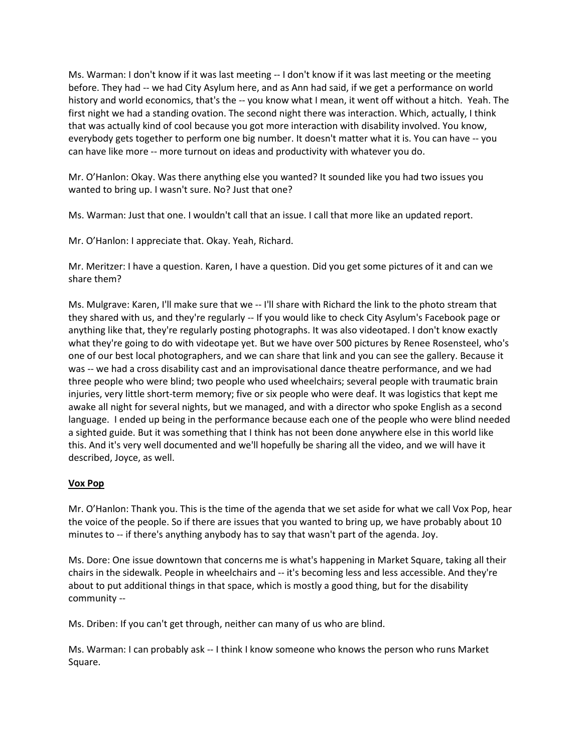Ms. Warman: I don't know if it was last meeting -- I don't know if it was last meeting or the meeting before. They had -- we had City Asylum here, and as Ann had said, if we get a performance on world history and world economics, that's the -- you know what I mean, it went off without a hitch. Yeah. The first night we had a standing ovation. The second night there was interaction. Which, actually, I think that was actually kind of cool because you got more interaction with disability involved. You know, everybody gets together to perform one big number. It doesn't matter what it is. You can have -- you can have like more -- more turnout on ideas and productivity with whatever you do.

Mr. O'Hanlon: Okay. Was there anything else you wanted? It sounded like you had two issues you wanted to bring up. I wasn't sure. No? Just that one?

Ms. Warman: Just that one. I wouldn't call that an issue. I call that more like an updated report.

Mr. O'Hanlon: I appreciate that. Okay. Yeah, Richard.

Mr. Meritzer: I have a question. Karen, I have a question. Did you get some pictures of it and can we share them?

Ms. Mulgrave: Karen, I'll make sure that we -- I'll share with Richard the link to the photo stream that they shared with us, and they're regularly -- If you would like to check City Asylum's Facebook page or anything like that, they're regularly posting photographs. It was also videotaped. I don't know exactly what they're going to do with videotape yet. But we have over 500 pictures by Renee Rosensteel, who's one of our best local photographers, and we can share that link and you can see the gallery. Because it was -- we had a cross disability cast and an improvisational dance theatre performance, and we had three people who were blind; two people who used wheelchairs; several people with traumatic brain injuries, very little short-term memory; five or six people who were deaf. It was logistics that kept me awake all night for several nights, but we managed, and with a director who spoke English as a second language. I ended up being in the performance because each one of the people who were blind needed a sighted guide. But it was something that I think has not been done anywhere else in this world like this. And it's very well documented and we'll hopefully be sharing all the video, and we will have it described, Joyce, as well.

## **Vox Pop**

Mr. O'Hanlon: Thank you. This is the time of the agenda that we set aside for what we call Vox Pop, hear the voice of the people. So if there are issues that you wanted to bring up, we have probably about 10 minutes to -- if there's anything anybody has to say that wasn't part of the agenda. Joy.

Ms. Dore: One issue downtown that concerns me is what's happening in Market Square, taking all their chairs in the sidewalk. People in wheelchairs and -- it's becoming less and less accessible. And they're about to put additional things in that space, which is mostly a good thing, but for the disability community --

Ms. Driben: If you can't get through, neither can many of us who are blind.

Ms. Warman: I can probably ask -- I think I know someone who knows the person who runs Market Square.